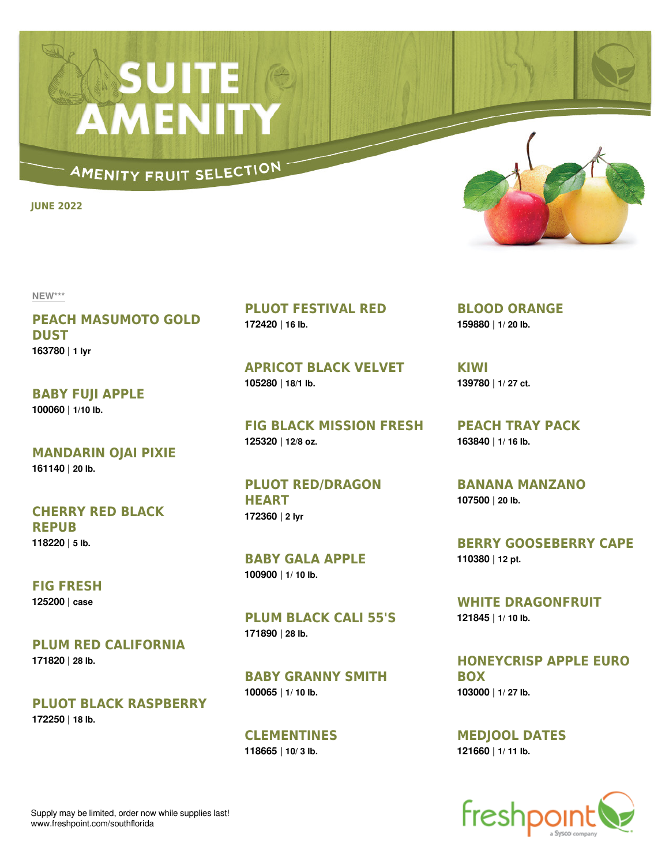## **ASUITE**

AMENITY FRUIT SELECTION

**JUNE 2022**

**NEW\*\*\***

**PEACH MASUMOTO GOLD DUST 163780 | 1 lyr**

**BABY FUJI APPLE 100060 | 1/10 lb.**

**MANDARIN OJAI PIXIE 161140 | 20 lb.**

**CHERRY RED BLACK REPUB 118220 | 5 lb.**

**FIG FRESH 125200 | case**

**PLUM RED CALIFORNIA 171820 | 28 lb.**

**PLUOT BLACK RASPBERRY 172250 | 18 lb.**

**PLUOT FESTIVAL RED 172420 | 16 lb.**

**APRICOT BLACK VELVET 105280 | 18/1 lb.**

**FIG BLACK MISSION FRESH 125320 | 12/8 oz.**

**PLUOT RED/DRAGON HEART 172360 | 2 lyr**

**BABY GALA APPLE 100900 | 1/ 10 lb.**

**PLUM BLACK CALI 55'S 171890 | 28 lb.**

**BABY GRANNY SMITH 100065 | 1/ 10 lb.**

**CLEMENTINES 118665 | 10/ 3 lb.**



**BLOOD ORANGE 159880 | 1/ 20 lb.**

**KIWI 139780 | 1/ 27 ct.**

**PEACH TRAY PACK 163840 | 1/ 16 lb.**

**BANANA MANZANO 107500 | 20 lb.**

**BERRY GOOSEBERRY CAPE 110380 | 12 pt.**

**WHITE DRAGONFRUIT 121845 | 1/ 10 lb.**

**HONEYCRISP APPLE EURO BOX 103000 | 1/ 27 lb.**

**MEDJOOL DATES 121660 | 1/ 11 lb.**